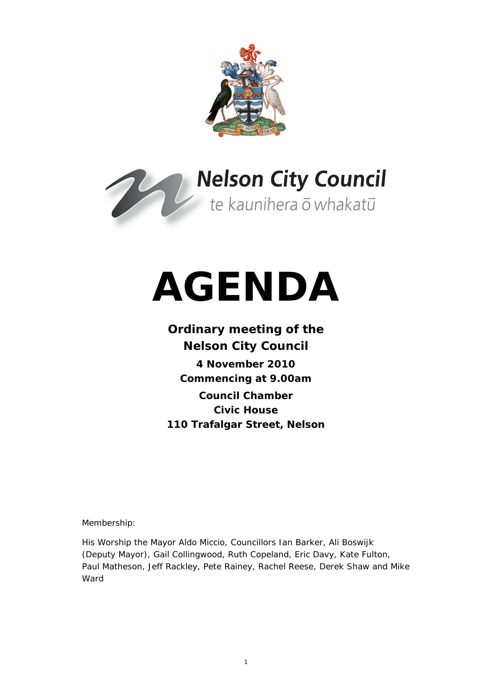



# **AGENDA**

# **Ordinary meeting of the Nelson City Council**

**4 November 2010 Commencing at 9.00am Council Chamber Civic House 110 Trafalgar Street, Nelson** 

Membership:

His Worship the Mayor Aldo Miccio, Councillors Ian Barker, Ali Boswijk (Deputy Mayor), Gail Collingwood, Ruth Copeland, Eric Davy, Kate Fulton, Paul Matheson, Jeff Rackley, Pete Rainey, Rachel Reese, Derek Shaw and Mike Ward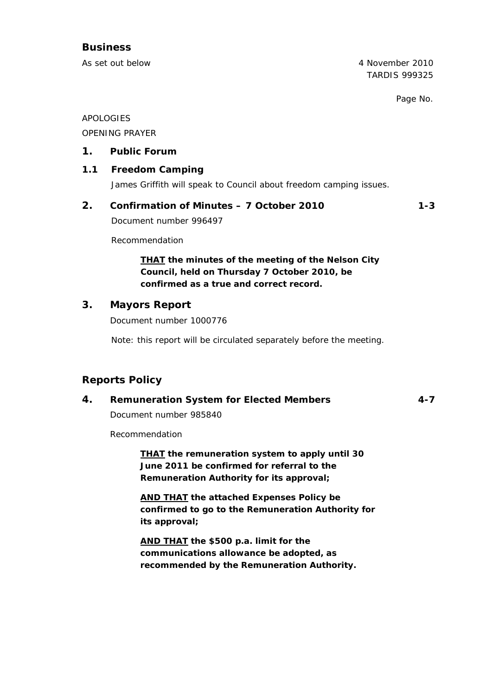# **Business**

As set out below 4 November 2010 TARDIS 999325

Page No.

APOLOGIES

OPENING PRAYER

### **1. Public Forum**

#### **1.1 Freedom Camping**

James Griffith will speak to Council about freedom camping issues.

**2. Confirmation of Minutes – 7 October 2010 1-3** 

Document number 996497

Recommendation

*THAT the minutes of the meeting of the Nelson City Council, held on Thursday 7 October 2010, be confirmed as a true and correct record.* 

# **3. Mayors Report**

Document number 1000776

Note: this report will be circulated separately before the meeting.

# **Reports Policy**

### **4. Remuneration System for Elected Members 4-7**

Document number 985840

Recommendation

*THAT the remuneration system to apply until 30 June 2011 be confirmed for referral to the Remuneration Authority for its approval;*

*AND THAT the attached Expenses Policy be confirmed to go to the Remuneration Authority for its approval;* 

*AND THAT the \$500 p.a. limit for the communications allowance be adopted, as recommended by the Remuneration Authority.*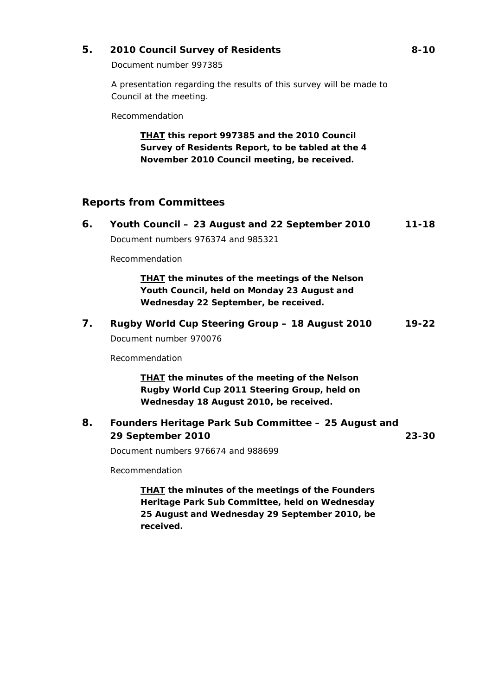# **5. 2010 Council Survey of Residents 8-10**

Document number 997385

A presentation regarding the results of this survey will be made to Council at the meeting.

Recommendation

*THAT this report 997385 and the 2010 Council Survey of Residents Report, to be tabled at the 4 November 2010 Council meeting, be received.* 

# **Reports from Committees**

| 6. | Youth Council – 23 August and 22 September 2010<br>Document numbers 976374 and 985321                                                          | $11 - 18$ |
|----|------------------------------------------------------------------------------------------------------------------------------------------------|-----------|
|    | Recommendation                                                                                                                                 |           |
|    | <b>THAT</b> the minutes of the meetings of the Nelson<br>Youth Council, held on Monday 23 August and<br>Wednesday 22 September, be received.   |           |
| 7. | Rugby World Cup Steering Group - 18 August 2010<br>Document number 970076                                                                      | $19 - 22$ |
|    | Recommendation                                                                                                                                 |           |
|    | <b>THAT</b> the minutes of the meeting of the Nelson<br>Rugby World Cup 2011 Steering Group, held on<br>Wednesday 18 August 2010, be received. |           |
| 8. | Founders Heritage Park Sub Committee - 25 August and<br>29 September 2010                                                                      | $23 - 30$ |
|    | Document numbers 976674 and 988699                                                                                                             |           |
|    | Recommendation                                                                                                                                 |           |
|    | <b>THAT</b> the minutes of the meetings of the Founders<br>Heritage Park Sub Committee, held on Wednesday                                      |           |

*25 August and Wednesday 29 September 2010, be received.*